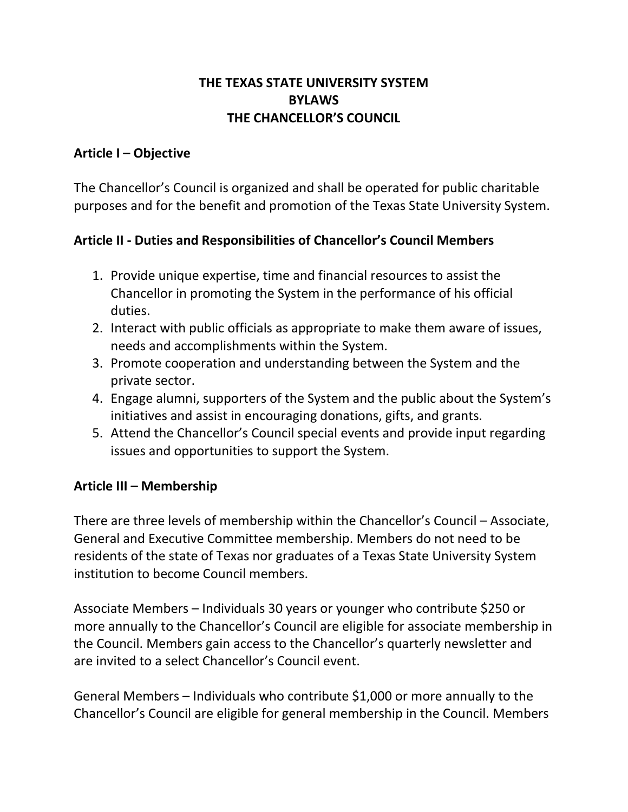## **THE TEXAS STATE UNIVERSITY SYSTEM BYLAWS THE CHANCELLOR'S COUNCIL**

#### **Article I – Objective**

The Chancellor's Council is organized and shall be operated for public charitable purposes and for the benefit and promotion of the Texas State University System.

## **Article II - Duties and Responsibilities of Chancellor's Council Members**

- 1. Provide unique expertise, time and financial resources to assist the Chancellor in promoting the System in the performance of his official duties.
- 2. Interact with public officials as appropriate to make them aware of issues, needs and accomplishments within the System.
- 3. Promote cooperation and understanding between the System and the private sector.
- 4. Engage alumni, supporters of the System and the public about the System's initiatives and assist in encouraging donations, gifts, and grants.
- 5. Attend the Chancellor's Council special events and provide input regarding issues and opportunities to support the System.

## **Article III – Membership**

There are three levels of membership within the Chancellor's Council – Associate, General and Executive Committee membership. Members do not need to be residents of the state of Texas nor graduates of a Texas State University System institution to become Council members.

Associate Members – Individuals 30 years or younger who contribute \$250 or more annually to the Chancellor's Council are eligible for associate membership in the Council. Members gain access to the Chancellor's quarterly newsletter and are invited to a select Chancellor's Council event.

General Members – Individuals who contribute \$1,000 or more annually to the Chancellor's Council are eligible for general membership in the Council. Members